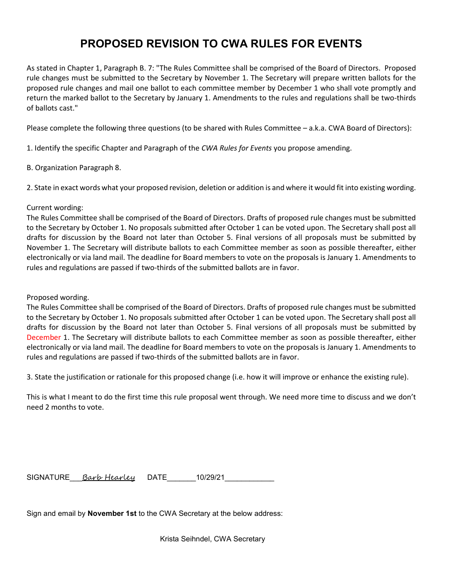## PROPOSED REVISION TO CWA RULES FOR EVENTS

As stated in Chapter 1, Paragraph B. 7: "The Rules Committee shall be comprised of the Board of Directors. Proposed rule changes must be submitted to the Secretary by November 1. The Secretary will prepare written ballots for the proposed rule changes and mail one ballot to each committee member by December 1 who shall vote promptly and return the marked ballot to the Secretary by January 1. Amendments to the rules and regulations shall be two-thirds of ballots cast."

Please complete the following three questions (to be shared with Rules Committee – a.k.a. CWA Board of Directors):

1. Identify the specific Chapter and Paragraph of the CWA Rules for Events you propose amending.

B. Organization Paragraph 8.

2. State in exact words what your proposed revision, deletion or addition is and where it would fit into existing wording.

## Current wording:

The Rules Committee shall be comprised of the Board of Directors. Drafts of proposed rule changes must be submitted to the Secretary by October 1. No proposals submitted after October 1 can be voted upon. The Secretary shall post all drafts for discussion by the Board not later than October 5. Final versions of all proposals must be submitted by November 1. The Secretary will distribute ballots to each Committee member as soon as possible thereafter, either electronically or via land mail. The deadline for Board members to vote on the proposals is January 1. Amendments to rules and regulations are passed if two-thirds of the submitted ballots are in favor.

## Proposed wording.

The Rules Committee shall be comprised of the Board of Directors. Drafts of proposed rule changes must be submitted to the Secretary by October 1. No proposals submitted after October 1 can be voted upon. The Secretary shall post all drafts for discussion by the Board not later than October 5. Final versions of all proposals must be submitted by December 1. The Secretary will distribute ballots to each Committee member as soon as possible thereafter, either electronically or via land mail. The deadline for Board members to vote on the proposals is January 1. Amendments to rules and regulations are passed if two-thirds of the submitted ballots are in favor.

3. State the justification or rationale for this proposed change (i.e. how it will improve or enhance the existing rule).

This is what I meant to do the first time this rule proposal went through. We need more time to discuss and we don't need 2 months to vote.

SIGNATURE Barb Hearley DATE 10/29/21

Sign and email by November 1st to the CWA Secretary at the below address:

Krista Seihndel, CWA Secretary